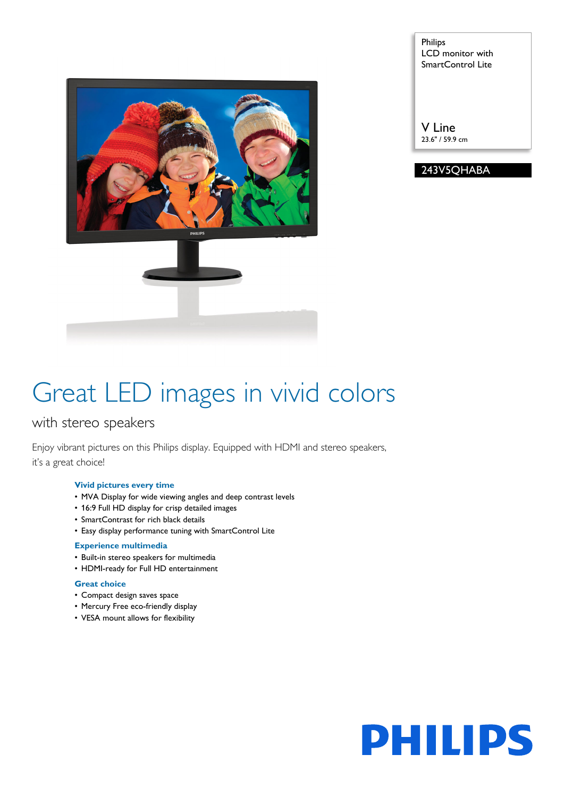

Philips LCD monitor with SmartControl Lite

V Line 23.6" / 59.9 cm

243V5QHABA

# Great LED images in vivid colors

## with stereo speakers

Enjoy vibrant pictures on this Philips display. Equipped with HDMI and stereo speakers, it's a great choice!

#### **Vivid pictures every time**

- MVA Display for wide viewing angles and deep contrast levels
- 16:9 Full HD display for crisp detailed images
- SmartContrast for rich black details
- Easy display performance tuning with SmartControl Lite

### **Experience multimedia**

- Built-in stereo speakers for multimedia
- HDMI-ready for Full HD entertainment

#### **Great choice**

- Compact design saves space
- Mercury Free eco-friendly display
- VESA mount allows for flexibility

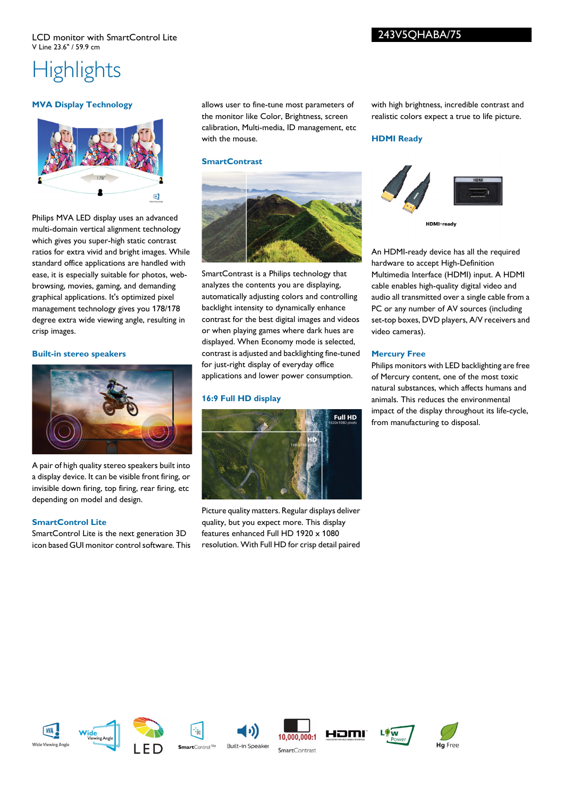#### LCD monitor with SmartControl Lite V Line 23.6" / 59.9 cm

**Highlights** 

#### **MVA Display Technology**



Philips MVA LED display uses an advanced multi-domain vertical alignment technology which gives you super-high static contrast ratios for extra vivid and bright images. While standard office applications are handled with ease, it is especially suitable for photos, webbrowsing, movies, gaming, and demanding graphical applications. It's optimized pixel management technology gives you 178/178 degree extra wide viewing angle, resulting in crisp images.

#### **Built-in stereo speakers**



A pair of high quality stereo speakers built into a display device. It can be visible front firing, or invisible down firing, top firing, rear firing, etc depending on model and design.

#### **SmartControl Lite**

SmartControl Lite is the next generation 3D icon based GUI monitor control software. This allows user to fine-tune most parameters of the monitor like Color, Brightness, screen calibration, Multi-media, ID management, etc with the mouse.

#### **SmartContrast**



SmartContrast is a Philips technology that analyzes the contents you are displaying, automatically adjusting colors and controlling backlight intensity to dynamically enhance contrast for the best digital images and videos or when playing games where dark hues are displayed. When Economy mode is selected, contrast is adjusted and backlighting fine-tuned for just-right display of everyday office applications and lower power consumption.

#### **16:9 Full HD display**



Picture quality matters. Regular displays deliver quality, but you expect more. This display features enhanced Full HD 1920 x 1080 resolution. With Full HD for crisp detail paired with high brightness, incredible contrast and realistic colors expect a true to life picture.

#### **HDMI Ready**



An HDMI-ready device has all the required hardware to accept High-Definition Multimedia Interface (HDMI) input. A HDMI cable enables high-quality digital video and audio all transmitted over a single cable from a PC or any number of AV sources (including set-top boxes, DVD players, A/V receivers and video cameras).

#### **Mercury Free**

Philips monitors with LED backlighting are free of Mercury content, one of the most toxic natural substances, which affects humans and animals. This reduces the environmental impact of the display throughout its life-cycle, from manufacturing to disposal.















243V5QHABA/75